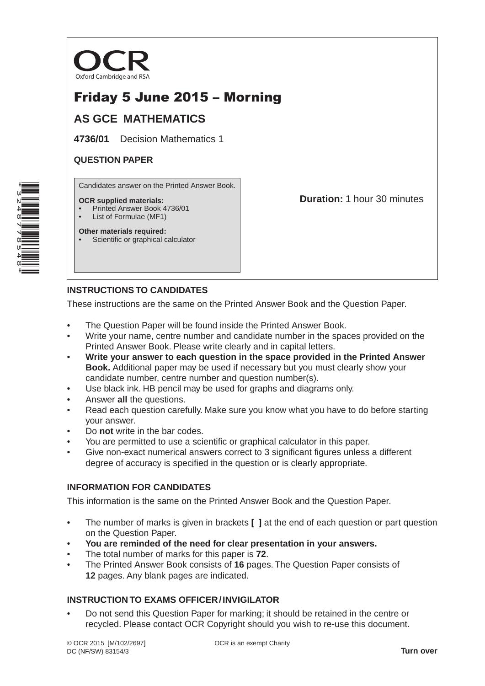

# Friday 5 June 2015 – Morning

## **AS GCE MATHEMATICS**

**4736/01** Decision Mathematics 1

#### **QUESTION PAPER**

\*

Candidates answer on the Printed Answer Book.

#### **OCR supplied materials:**

- Printed Answer Book 4736/01
- List of Formulae (MF1)

**Other materials required:** Scientific or graphical calculator **Duration:** 1 hour 30 minutes

### **INSTRUCTIONS TO CANDIDATES**

These instructions are the same on the Printed Answer Book and the Question Paper.

- The Question Paper will be found inside the Printed Answer Book.
- Write your name, centre number and candidate number in the spaces provided on the Printed Answer Book. Please write clearly and in capital letters.
- **Write your answer to each question in the space provided in the Printed Answer Book.** Additional paper may be used if necessary but you must clearly show your candidate number, centre number and question number(s).
- Use black ink. HB pencil may be used for graphs and diagrams only.
- Answer **all** the questions.
- Read each question carefully. Make sure you know what you have to do before starting your answer.
- Do **not** write in the bar codes.
- You are permitted to use a scientific or graphical calculator in this paper.
- Give non-exact numerical answers correct to 3 significant figures unless a different degree of accuracy is specified in the question or is clearly appropriate.

#### **INFORMATION FOR CANDIDATES**

This information is the same on the Printed Answer Book and the Question Paper.

- The number of marks is given in brackets **[ ]** at the end of each question or part question on the Question Paper.
- **You are reminded of the need for clear presentation in your answers.**
- The total number of marks for this paper is **72**.
- The Printed Answer Book consists of **16** pages. The Question Paper consists of **12** pages. Any blank pages are indicated.

#### **INSTRUCTION TO EXAMS OFFICER / INVIGILATOR**

• Do not send this Question Paper for marking; it should be retained in the centre or recycled. Please contact OCR Copyright should you wish to re-use this document.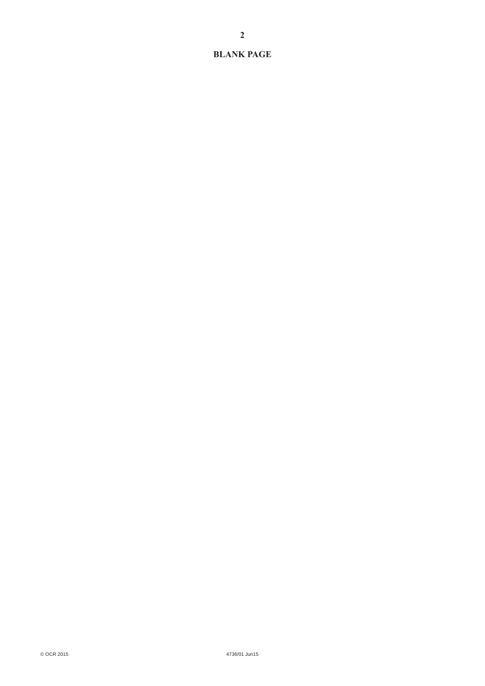#### **BLANK PAGE**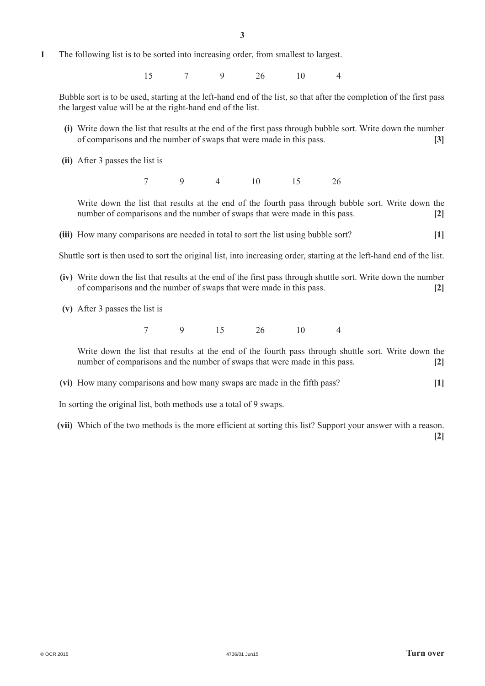- **1** The following list is to be sorted into increasing order, from smallest to largest.
	- 15 7 9 26 10 4

Bubble sort is to be used, starting at the left-hand end of the list, so that after the completion of the first pass the largest value will be at the right-hand end of the list.

- **(i)** Write down the list that results at the end of the first pass through bubble sort. Write down the number of comparisons and the number of swaps that were made in this pass. **[3]**
- **(ii)** After 3 passes the list is
	- 7 9 4 10 15 26

Write down the list that results at the end of the fourth pass through bubble sort. Write down the number of comparisons and the number of swaps that were made in this pass. **[2]**

 **(iii)** How many comparisons are needed in total to sort the list using bubble sort? **[1]**

Shuttle sort is then used to sort the original list, into increasing order, starting at the left-hand end of the list.

- **(iv)** Write down the list that results at the end of the first pass through shuttle sort. Write down the number of comparisons and the number of swaps that were made in this pass. **[2]**
- **(v)** After 3 passes the list is
	- 7 9 15 26 10 4

Write down the list that results at the end of the fourth pass through shuttle sort. Write down the number of comparisons and the number of swaps that were made in this pass. **[2]**

- **(vi)** How many comparisons and how many swaps are made in the fifth pass? **[1]**
- In sorting the original list, both methods use a total of 9 swaps.

 **(vii)** Which of the two methods is the more efficient at sorting this list? Support your answer with a reason.

**[2]**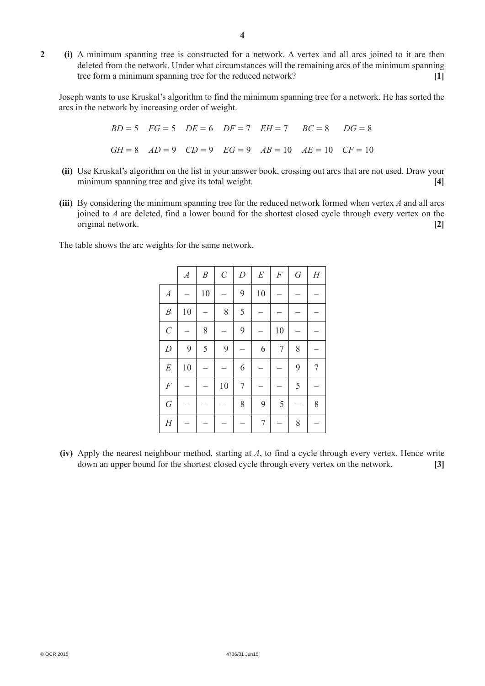**2 (i)** A minimum spanning tree is constructed for a network. A vertex and all arcs joined to it are then deleted from the network. Under what circumstances will the remaining arcs of the minimum spanning tree form a minimum spanning tree for the reduced network? **[1]**

Joseph wants to use Kruskal's algorithm to find the minimum spanning tree for a network. He has sorted the arcs in the network by increasing order of weight.

$$
BD = 5
$$
  $FG = 5$   $DE = 6$   $DF = 7$   $EH = 7$   $BC = 8$   $DG = 8$   
\n $GH = 8$   $AD = 9$   $CD = 9$   $EG = 9$   $AB = 10$   $AE = 10$   $CF = 10$ 

- **(ii)** Use Kruskal's algorithm on the list in your answer book, crossing out arcs that are not used. Draw your minimum spanning tree and give its total weight. **[4]**
- **(iii)** By considering the minimum spanning tree for the reduced network formed when vertex *A* and all arcs joined to *A* are deleted, find a lower bound for the shortest closed cycle through every vertex on the original network. **[2]**

The table shows the arc weights for the same network.

|                  | $\boldsymbol{A}$ | $\boldsymbol{B}$ | $\mathcal{C}$ | $\boldsymbol{D}$ | $\cal E$         | $\boldsymbol{F}$ | $\boldsymbol{G}$ | H |
|------------------|------------------|------------------|---------------|------------------|------------------|------------------|------------------|---|
| $\boldsymbol{A}$ |                  | 10               |               | 9                | 10               |                  |                  |   |
| $\boldsymbol{B}$ | 10               |                  | 8             | 5                |                  |                  |                  |   |
| $\mathcal{C}$    |                  | 8                |               | 9                |                  | 10               |                  |   |
| $\boldsymbol{D}$ | 9                | 5                | 9             |                  | 6                | $\boldsymbol{7}$ | 8                |   |
| $\cal E$         | 10               |                  |               | 6                |                  |                  | 9                | 7 |
| $\overline{F}$   |                  |                  | 10            | $\tau$           |                  |                  | 5                |   |
| $\cal G$         |                  |                  |               | 8                | 9                | 5                |                  | 8 |
| H                |                  |                  |               |                  | $\boldsymbol{7}$ |                  | 8                |   |

 **(iv)** Apply the nearest neighbour method, starting at *A*, to find a cycle through every vertex. Hence write down an upper bound for the shortest closed cycle through every vertex on the network. **[3]**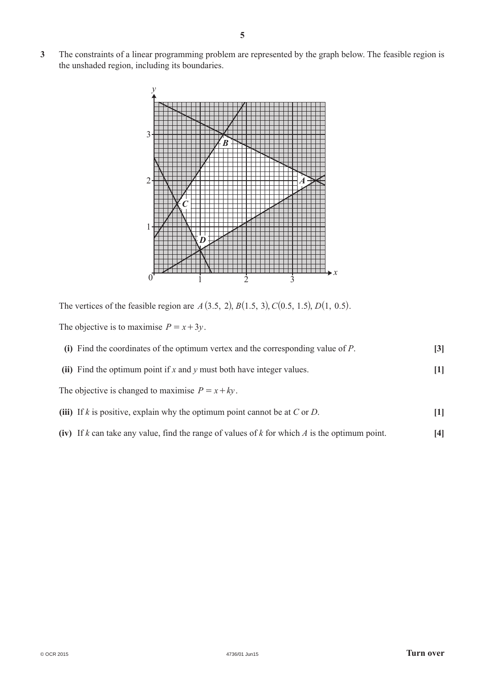

The vertices of the feasible region are  $A (3.5, 2), B(1.5, 3), C(0.5, 1.5), D(1, 0.5)$ . The objective is to maximise  $P = x + 3y$ .

| (i) Find the coordinates of the optimum vertex and the corresponding value of $P$ . |  |  |  |  |  |
|-------------------------------------------------------------------------------------|--|--|--|--|--|
| (ii) Find the optimum point if x and y must both have integer values.               |  |  |  |  |  |

The objective is changed to maximise  $P = x + ky$ .

- **(iii)** If *k* is positive, explain why the optimum point cannot be at *C* or *D*. **[1]**
- **(iv)** If *k* can take any value, find the range of values of *k* for which *A* is the optimum point. **[4]**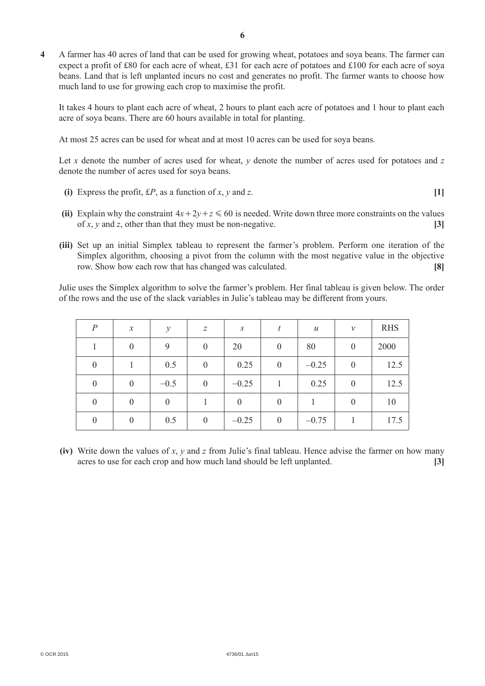**4** A farmer has 40 acres of land that can be used for growing wheat, potatoes and soya beans. The farmer can expect a profit of £80 for each acre of wheat, £31 for each acre of potatoes and £100 for each acre of soya beans. Land that is left unplanted incurs no cost and generates no profit. The farmer wants to choose how much land to use for growing each crop to maximise the profit.

It takes 4 hours to plant each acre of wheat, 2 hours to plant each acre of potatoes and 1 hour to plant each acre of soya beans. There are 60 hours available in total for planting.

At most 25 acres can be used for wheat and at most 10 acres can be used for soya beans.

Let *x* denote the number of acres used for wheat, *y* denote the number of acres used for potatoes and *z* denote the number of acres used for soya beans.

- **(i)** Express the profit,  $\pounds P$ , as a function of *x*, *y* and *z*.  $[1]$
- (ii) Explain why the constraint  $4x + 2y + z \le 60$  is needed. Write down three more constraints on the values of *x*, *y* and *z*, other than that they must be non-negative. **[3]**
- **(iii)** Set up an initial Simplex tableau to represent the farmer's problem. Perform one iteration of the Simplex algorithm, choosing a pivot from the column with the most negative value in the objective row. Show how each row that has changed was calculated. **[8]**

Julie uses the Simplex algorithm to solve the farmer's problem. Her final tableau is given below. The order of the rows and the use of the slack variables in Julie's tableau may be different from yours.

| $\boldsymbol{P}$ | $\mathcal{X}$    | $\mathcal{Y}$ | $\mathcal{Z}$    | $\boldsymbol{S}$ | t                | $\mathcal{U}$ | $\mathcal V$     | <b>RHS</b> |
|------------------|------------------|---------------|------------------|------------------|------------------|---------------|------------------|------------|
|                  | $\boldsymbol{0}$ | 9             | $\boldsymbol{0}$ | 20               | $\boldsymbol{0}$ | 80            | $\boldsymbol{0}$ | 2000       |
| $\boldsymbol{0}$ |                  | 0.5           | $\boldsymbol{0}$ | 0.25             | $\boldsymbol{0}$ | $-0.25$       | $\boldsymbol{0}$ | 12.5       |
| $\boldsymbol{0}$ | $\boldsymbol{0}$ | $-0.5$        | $\boldsymbol{0}$ | $-0.25$          |                  | 0.25          | $\boldsymbol{0}$ | 12.5       |
| $\boldsymbol{0}$ | $\overline{0}$   | $\theta$      |                  | $\overline{0}$   | $\boldsymbol{0}$ |               | $\boldsymbol{0}$ | 10         |
| $\boldsymbol{0}$ | $\overline{0}$   | 0.5           | $\boldsymbol{0}$ | $-0.25$          | $\boldsymbol{0}$ | $-0.75$       |                  | 17.5       |

 **(iv)** Write down the values of *x*, *y* and *z* from Julie's final tableau. Hence advise the farmer on how many acres to use for each crop and how much land should be left unplanted. **[3]**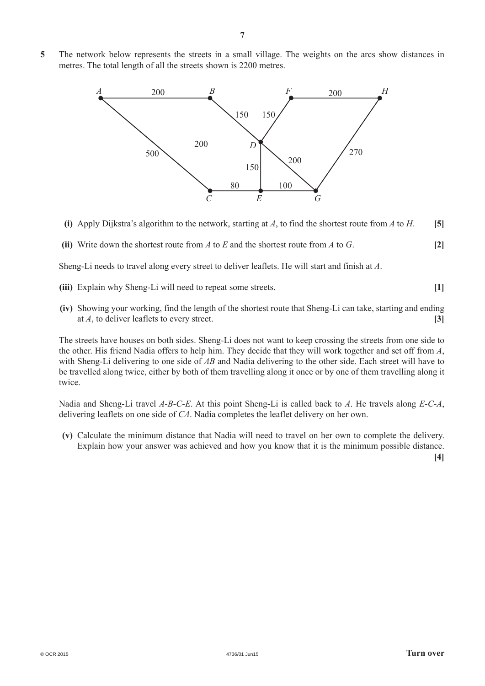**5** The network below represents the streets in a small village. The weights on the arcs show distances in metres. The total length of all the streets shown is 2200 metres.



- **(i)** Apply Dijkstra's algorithm to the network, starting at *A*, to find the shortest route from *A* to *H*. **[5]**
- **(ii)** Write down the shortest route from *A* to *E* and the shortest route from *A* to *G*. **[2]**

Sheng-Li needs to travel along every street to deliver leaflets. He will start and finish at *A*.

- **(iii)** Explain why Sheng-Li will need to repeat some streets. **[1]**
- **(iv)** Showing your working, find the length of the shortest route that Sheng-Li can take, starting and ending at *A*, to deliver leaflets to every street. **[3]**

The streets have houses on both sides. Sheng-Li does not want to keep crossing the streets from one side to the other. His friend Nadia offers to help him. They decide that they will work together and set off from *A*, with Sheng-Li delivering to one side of *AB* and Nadia delivering to the other side. Each street will have to be travelled along twice, either by both of them travelling along it once or by one of them travelling along it twice.

Nadia and Sheng-Li travel *A-B-C-E*. At this point Sheng-Li is called back to *A*. He travels along *E-C-A*, delivering leaflets on one side of *CA*. Nadia completes the leaflet delivery on her own.

 **(v)** Calculate the minimum distance that Nadia will need to travel on her own to complete the delivery. Explain how your answer was achieved and how you know that it is the minimum possible distance.

**[4]**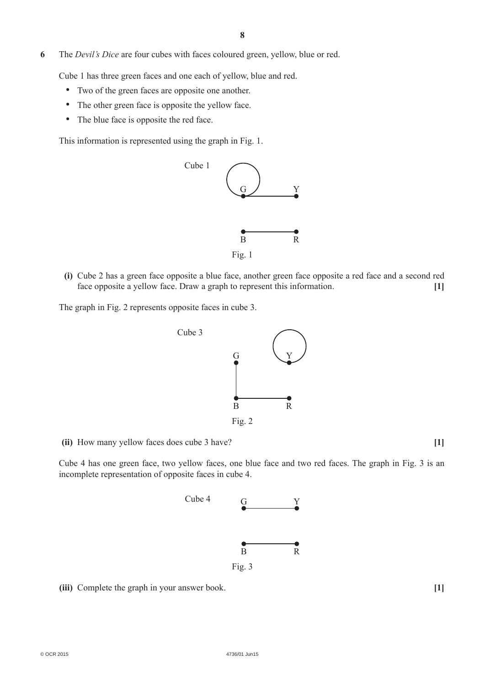### **6** The *Devil's Dice* are four cubes with faces coloured green, yellow, blue or red.

Cube 1 has three green faces and one each of yellow, blue and red.

- Two of the green faces are opposite one another.
- The other green face is opposite the yellow face.
- The blue face is opposite the red face.

This information is represented using the graph in Fig. 1.



 **(i)** Cube 2 has a green face opposite a blue face, another green face opposite a red face and a second red face opposite a yellow face. Draw a graph to represent this information. **[1]**

The graph in Fig. 2 represents opposite faces in cube 3.



 **(ii)** How many yellow faces does cube 3 have? **[1]**

Cube 4 has one green face, two yellow faces, one blue face and two red faces. The graph in Fig. 3 is an incomplete representation of opposite faces in cube 4.



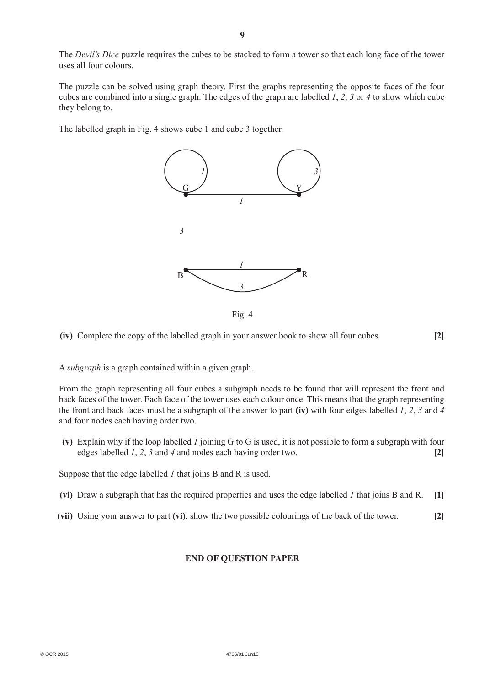The *Devil's Dice* puzzle requires the cubes to be stacked to form a tower so that each long face of the tower uses all four colours.

The puzzle can be solved using graph theory. First the graphs representing the opposite faces of the four cubes are combined into a single graph. The edges of the graph are labelled *1*, *2*, *3* or *4* to show which cube they belong to.

The labelled graph in Fig. 4 shows cube 1 and cube 3 together.



Fig. 4

 **(iv)** Complete the copy of the labelled graph in your answer book to show all four cubes. **[2]**

A *subgraph* is a graph contained within a given graph.

From the graph representing all four cubes a subgraph needs to be found that will represent the front and back faces of the tower. Each face of the tower uses each colour once. This means that the graph representing the front and back faces must be a subgraph of the answer to part **(iv)** with four edges labelled *1*, *2*, *3* and *4* and four nodes each having order two.

 **(v)** Explain why if the loop labelled *1* joining G to G is used, it is not possible to form a subgraph with four edges labelled *1*, *2*, *3* and *4* and nodes each having order two. **[2]**

Suppose that the edge labelled *1* that joins B and R is used.

- **(vi)** Draw a subgraph that has the required properties and uses the edge labelled *1* that joins B and R. **[1]**
- **(vii)** Using your answer to part **(vi)**, show the two possible colourings of the back of the tower. **[2]**

#### **END OF QUESTION PAPER**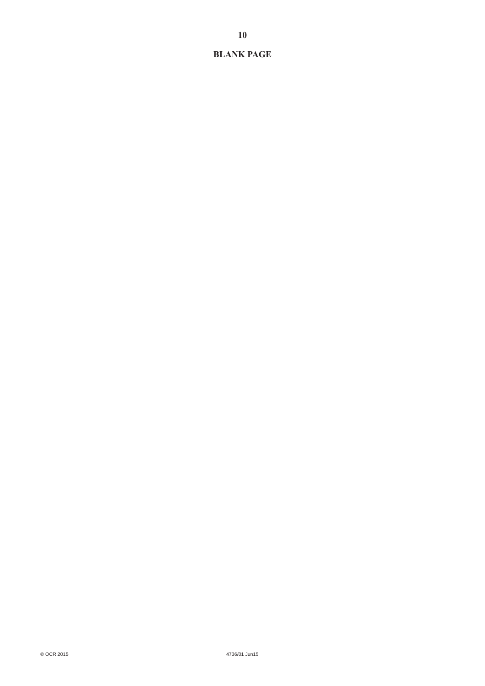#### **BLANK PAGE**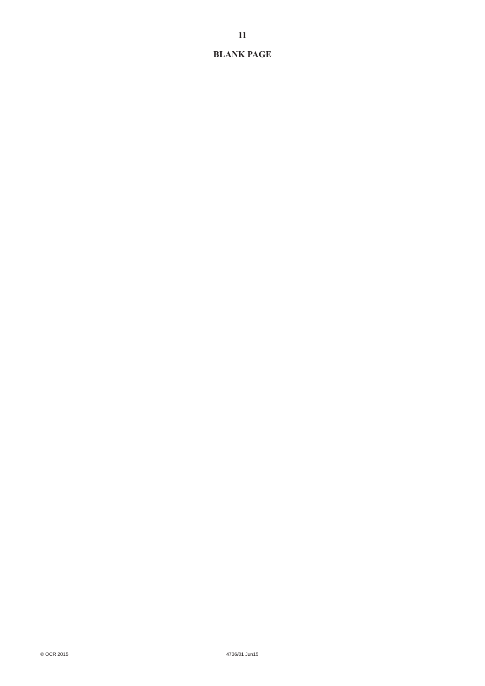#### **BLANK PAGE**